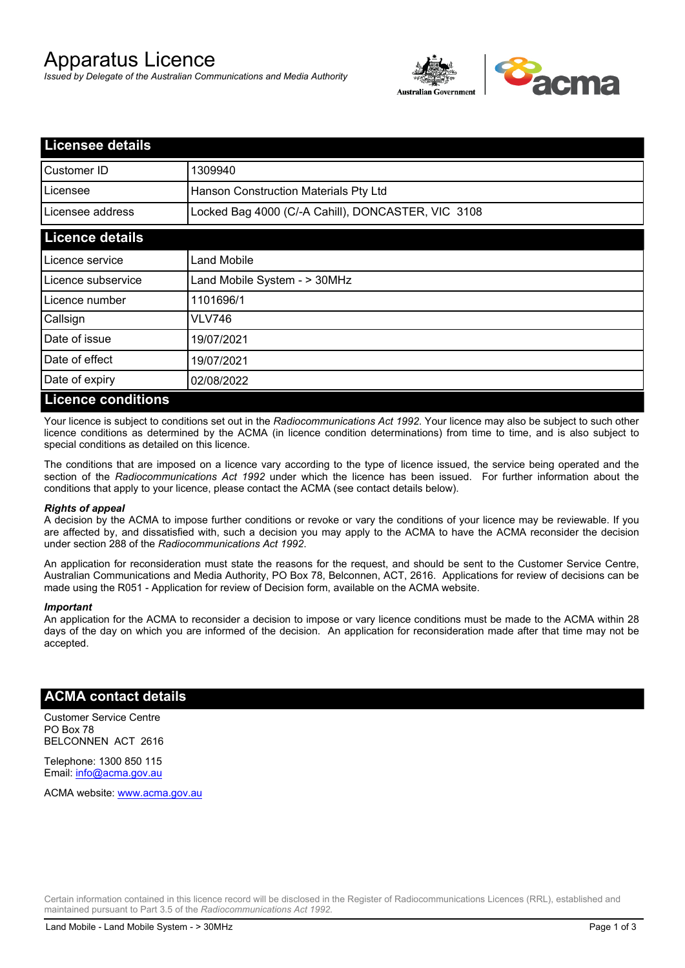# Apparatus Licence

*Issued by Delegate of the Australian Communications and Media Authority*



| <b>Licensee details</b>   |                                                    |  |
|---------------------------|----------------------------------------------------|--|
| Customer ID               | 1309940                                            |  |
| Licensee                  | Hanson Construction Materials Pty Ltd              |  |
| Licensee address          | Locked Bag 4000 (C/-A Cahill), DONCASTER, VIC 3108 |  |
| <b>Licence details</b>    |                                                    |  |
| Licence service           | <b>Land Mobile</b>                                 |  |
| Licence subservice        | Land Mobile System - > 30MHz                       |  |
| Licence number            | 1101696/1                                          |  |
| Callsign                  | VLV746                                             |  |
| Date of issue             | 19/07/2021                                         |  |
| Date of effect            | 19/07/2021                                         |  |
| Date of expiry            | 02/08/2022                                         |  |
| <b>Licence conditions</b> |                                                    |  |

Your licence is subject to conditions set out in the *Radiocommunications Act 1992*. Your licence may also be subject to such other licence conditions as determined by the ACMA (in licence condition determinations) from time to time, and is also subject to special conditions as detailed on this licence.

The conditions that are imposed on a licence vary according to the type of licence issued, the service being operated and the section of the *Radiocommunications Act 1992* under which the licence has been issued. For further information about the conditions that apply to your licence, please contact the ACMA (see contact details below).

#### *Rights of appeal*

A decision by the ACMA to impose further conditions or revoke or vary the conditions of your licence may be reviewable. If you are affected by, and dissatisfied with, such a decision you may apply to the ACMA to have the ACMA reconsider the decision under section 288 of the *Radiocommunications Act 1992*.

An application for reconsideration must state the reasons for the request, and should be sent to the Customer Service Centre, Australian Communications and Media Authority, PO Box 78, Belconnen, ACT, 2616. Applications for review of decisions can be made using the R051 - Application for review of Decision form, available on the ACMA website.

#### *Important*

An application for the ACMA to reconsider a decision to impose or vary licence conditions must be made to the ACMA within 28 days of the day on which you are informed of the decision. An application for reconsideration made after that time may not be accepted.

### **ACMA contact details**

Customer Service Centre PO Box 78 BELCONNEN ACT 2616

Telephone: 1300 850 115 Email: info@acma.gov.au

ACMA website: www.acma.gov.au

Certain information contained in this licence record will be disclosed in the Register of Radiocommunications Licences (RRL), established and maintained pursuant to Part 3.5 of the *Radiocommunications Act 1992.*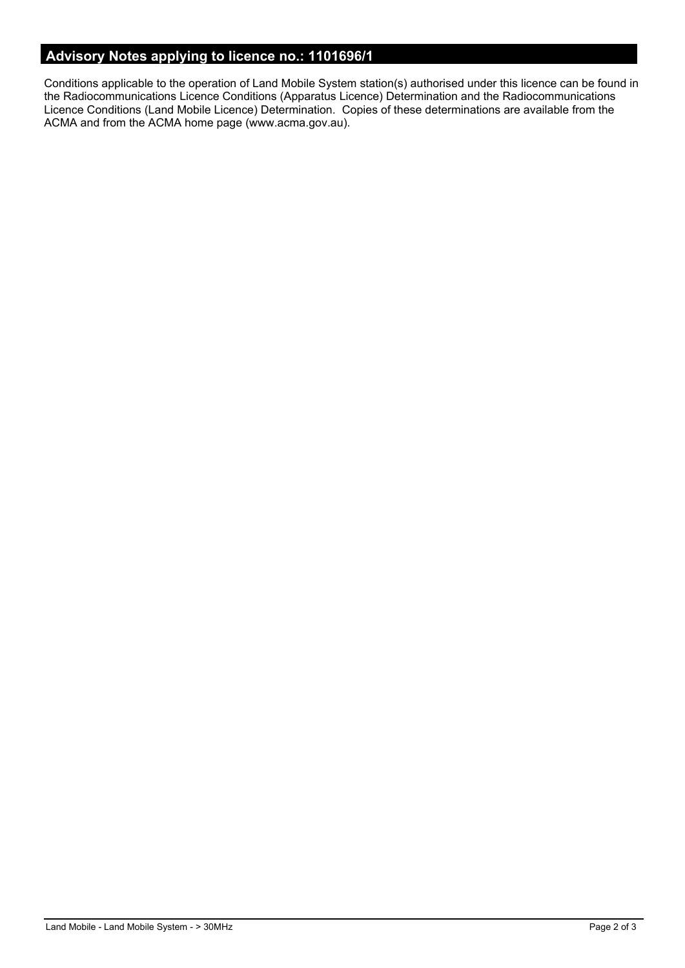# **Advisory Notes applying to licence no.: 1101696/1**

Conditions applicable to the operation of Land Mobile System station(s) authorised under this licence can be found in the Radiocommunications Licence Conditions (Apparatus Licence) Determination and the Radiocommunications Licence Conditions (Land Mobile Licence) Determination. Copies of these determinations are available from the ACMA and from the ACMA home page (www.acma.gov.au).